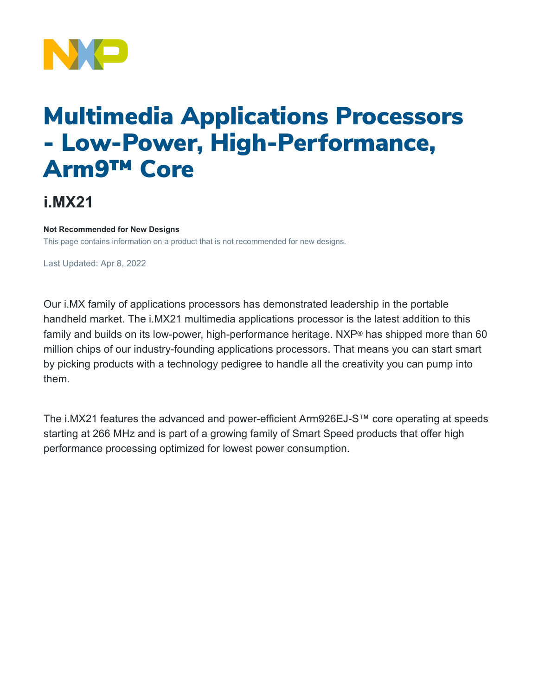

# Multimedia Applications Processors - Low-Power, High-Performance, Arm9™ Core

## **i.MX21**

#### **Not Recommended for New Designs**

This page contains information on a product that is not recommended for new designs.

Last Updated: Apr 8, 2022

Our i.MX family of applications processors has demonstrated leadership in the portable handheld market. The i.MX21 multimedia applications processor is the latest addition to this family and builds on its low-power, high-performance heritage. NXP<sup>®</sup> has shipped more than 60 million chips of our industry-founding applications processors. That means you can start smart by picking products with a technology pedigree to handle all the creativity you can pump into them.

The i.MX21 features the advanced and power-efficient Arm926EJ-S™ core operating at speeds starting at 266 MHz and is part of a growing family of Smart Speed products that offer high performance processing optimized for lowest power consumption.